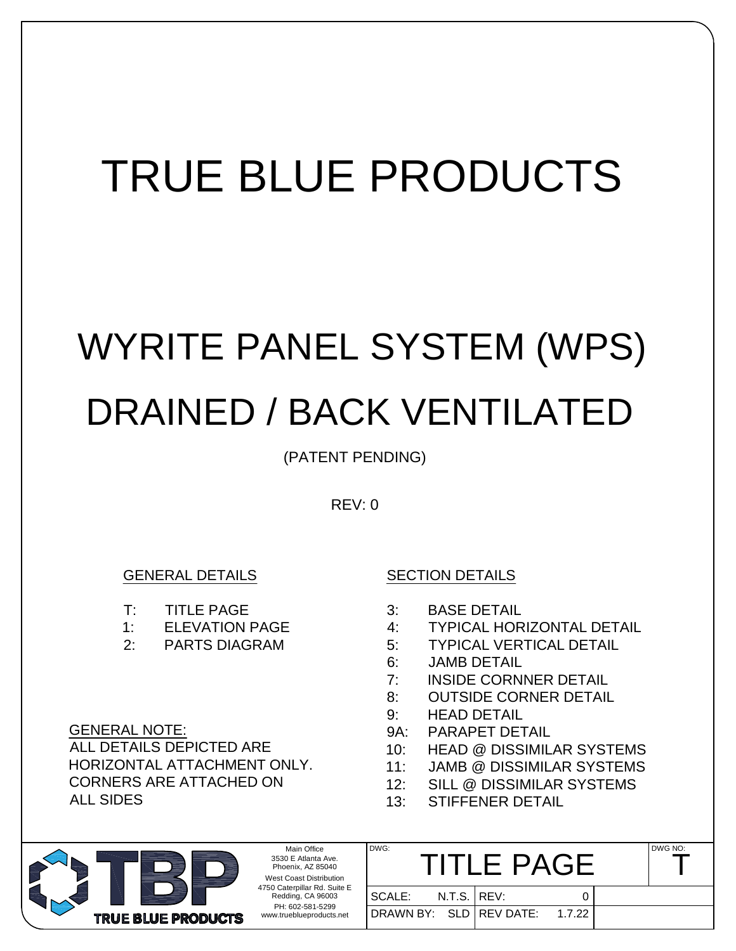## TRUE BLUE PRODUCTS

# WYRITE PANEL SYSTEM (WPS) DRAINED / BACK VENTILATED

(PATENT PENDING)

REV: 0

### GENERAL DETAILS

- T: TITLE PAGE
- 1: ELEVATION PAGE
- 2: PARTS DIAGRAM

GENERAL NOTE: ALL DETAILS DEPICTED ARE HORIZONTAL ATTACHMENT ONLY. CORNERS ARE ATTACHED ON ALL SIDES

#### SECTION DETAILS

- 3: BASE DETAIL
- 4: TYPICAL HORIZONTAL DETAIL
- 5: TYPICAL VERTICAL DETAIL
- 6: JAMB DETAIL
- 7: INSIDE CORNNER DETAIL
- 8: OUTSIDE CORNER DETAIL
- 9: HEAD DETAIL
- 9A: PARAPET DETAIL
- 10: HEAD @ DISSIMILAR SYSTEMS
- 11: JAMB @ DISSIMILAR SYSTEMS
- 12: SILL @ DISSIMILAR SYSTEMS
- 13: STIFFENER DETAIL

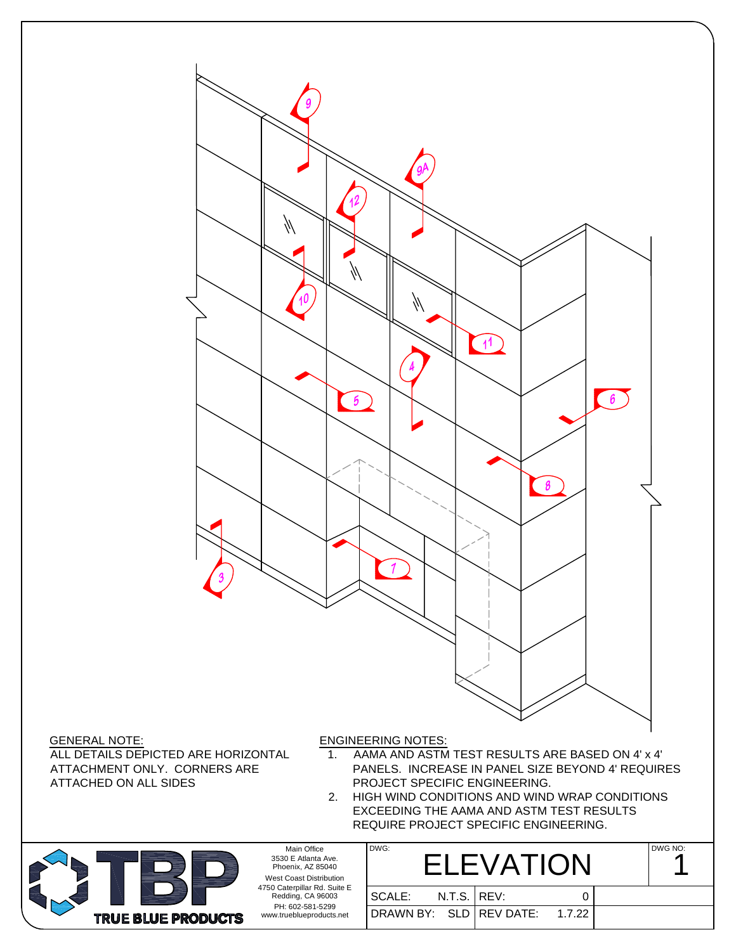

GENERAL NOTE: ALL DETAILS DEPICTED ARE HORIZONTAL ATTACHMENT ONLY. CORNERS ARE ATTACHED ON ALL SIDES

- 1. AAMA AND ASTM TEST RESULTS ARE BASED ON 4' x 4' PANELS. INCREASE IN PANEL SIZE BEYOND 4' REQUIRES PROJECT SPECIFIC ENGINEERING.
- 2. HIGH WIND CONDITIONS AND WIND WRAP CONDITIONS EXCEEDING THE AAMA AND ASTM TEST RESULTS REQUIRE PROJECT SPECIFIC ENGINEERING.



Main Office 3530 E Atlanta Ave. Phoenix, AZ 85040 West Coast Distribution 4750 Caterpillar Rd. Suite E Redding, CA 96003 PH: 602-581-5299 www.trueblueproducts.net

| DWG:                             | <b>ELEVATION</b> |  | DWG NO: |
|----------------------------------|------------------|--|---------|
| SCALE: N.T.S. REV:               |                  |  |         |
| DRAWN BY: SLD   REV DATE: 1.7.22 |                  |  |         |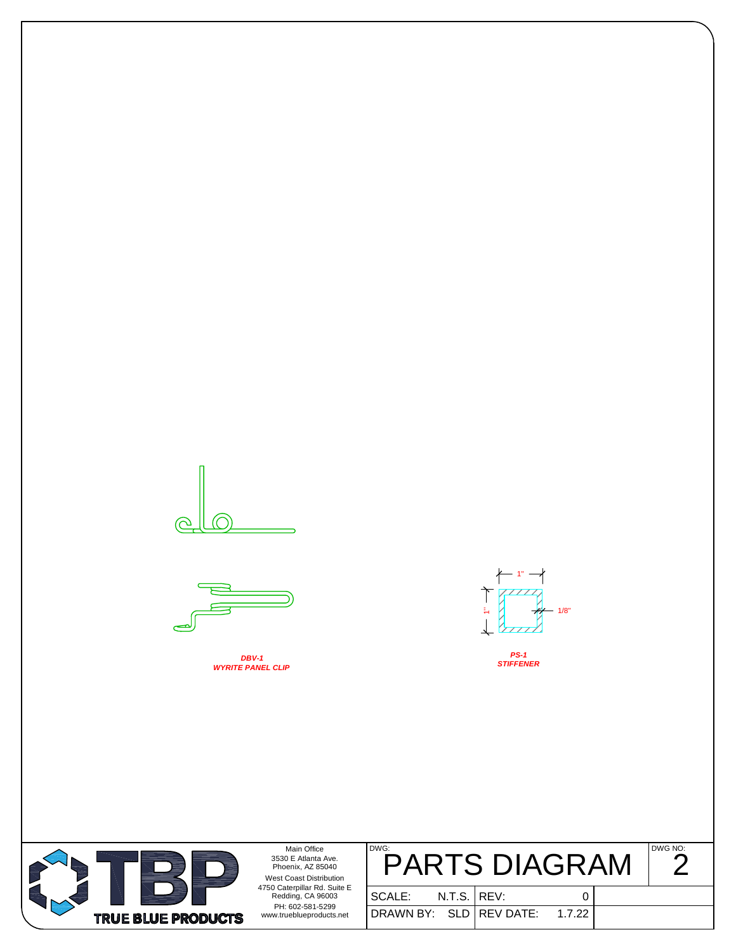



*DBV-1 WYRITE PANEL CLIP*



*PS-1 STIFFENER*



Main Office 3530 E Atlanta Ave. Phoenix, AZ 85040 West Coast Distribution 4750 Caterpillar Rd. Suite E Redding, CA 96003

| DWG: | <b>PARTS DIAGRAM</b> | DWG NO: |
|------|----------------------|---------|
|      |                      |         |

| $100$ Calendinal Nu. Julie E $\,$<br>Redding, CA 96003<br>PH: 602-581-5299<br>www.trueblueproducts.net | l SCALE:                | $N.T.S.$ $ $ REV: |        |
|--------------------------------------------------------------------------------------------------------|-------------------------|-------------------|--------|
|                                                                                                        | DRAWN BY: SLD REV DATE: |                   | 1.7.22 |

| ٠ | I<br>×        |
|---|---------------|
|   | $\frac{1}{2}$ |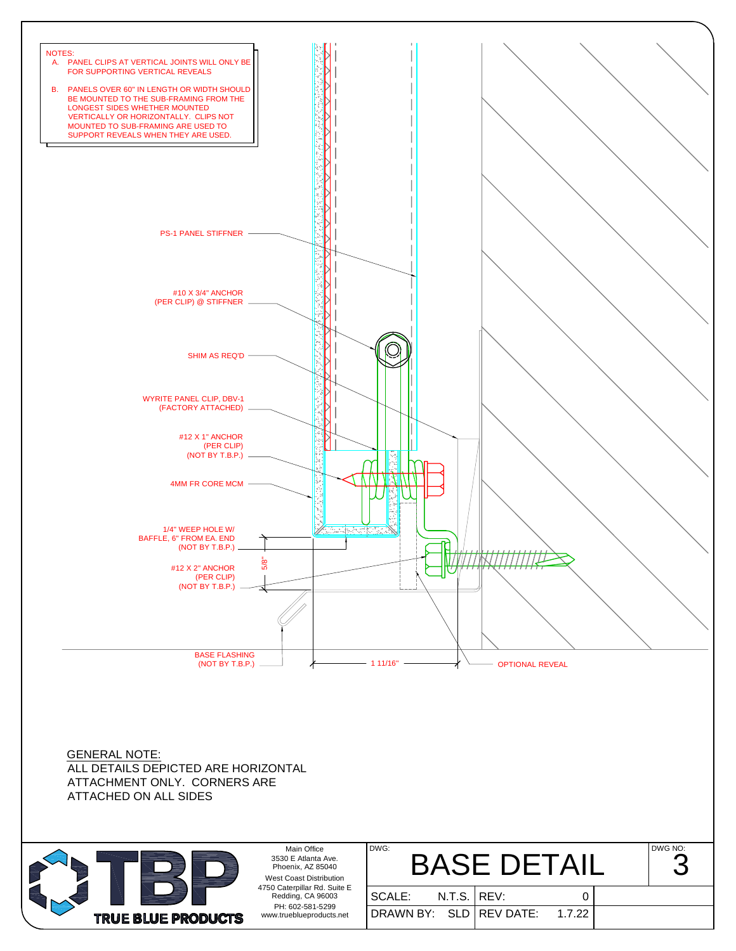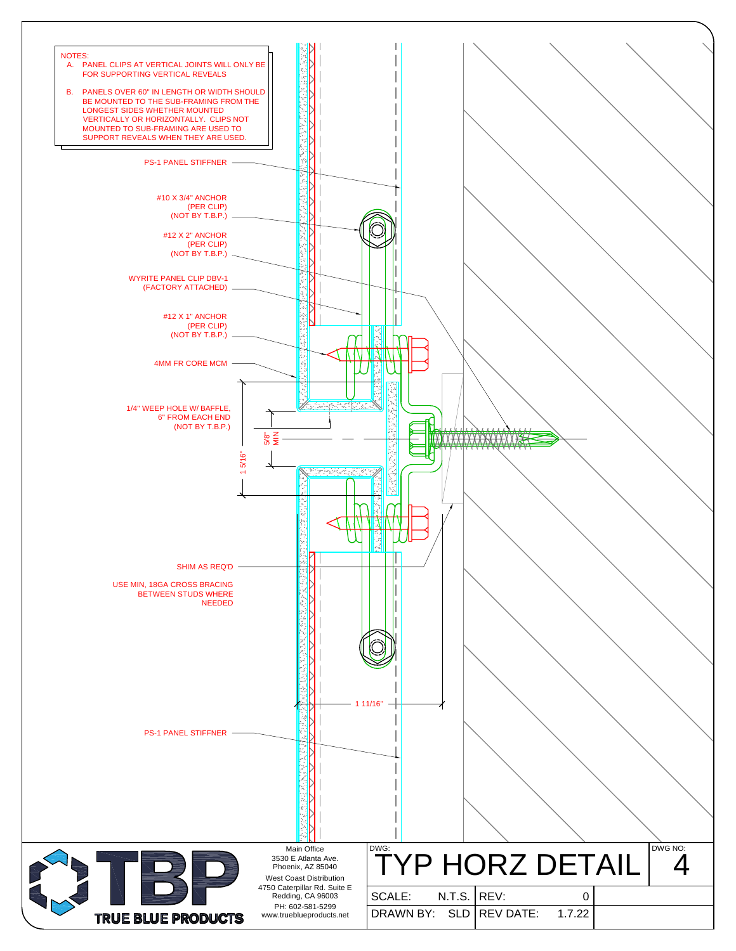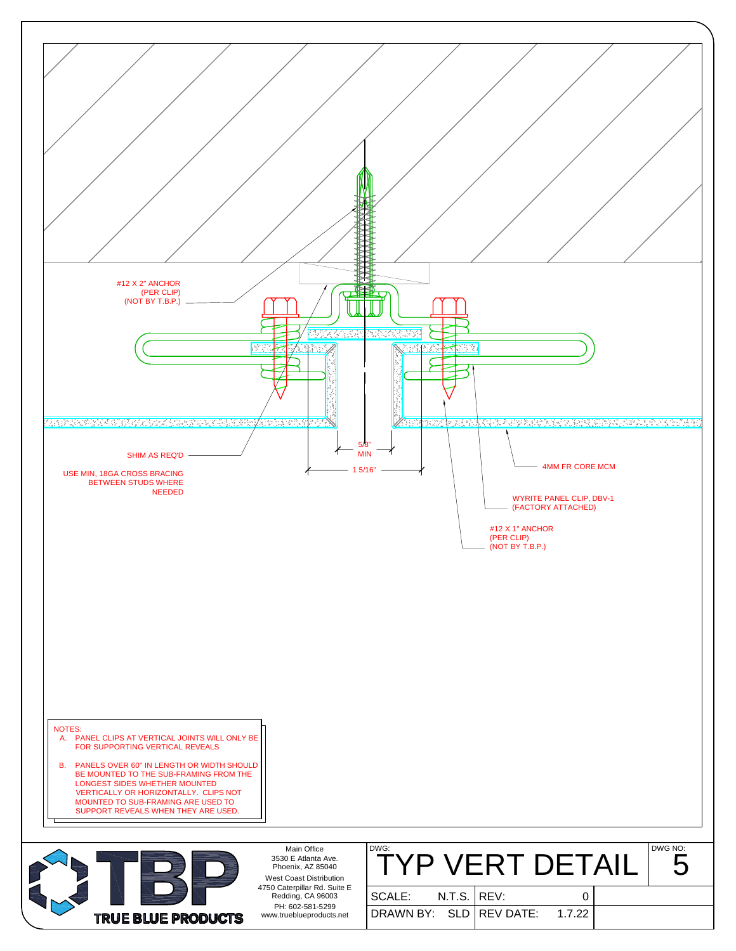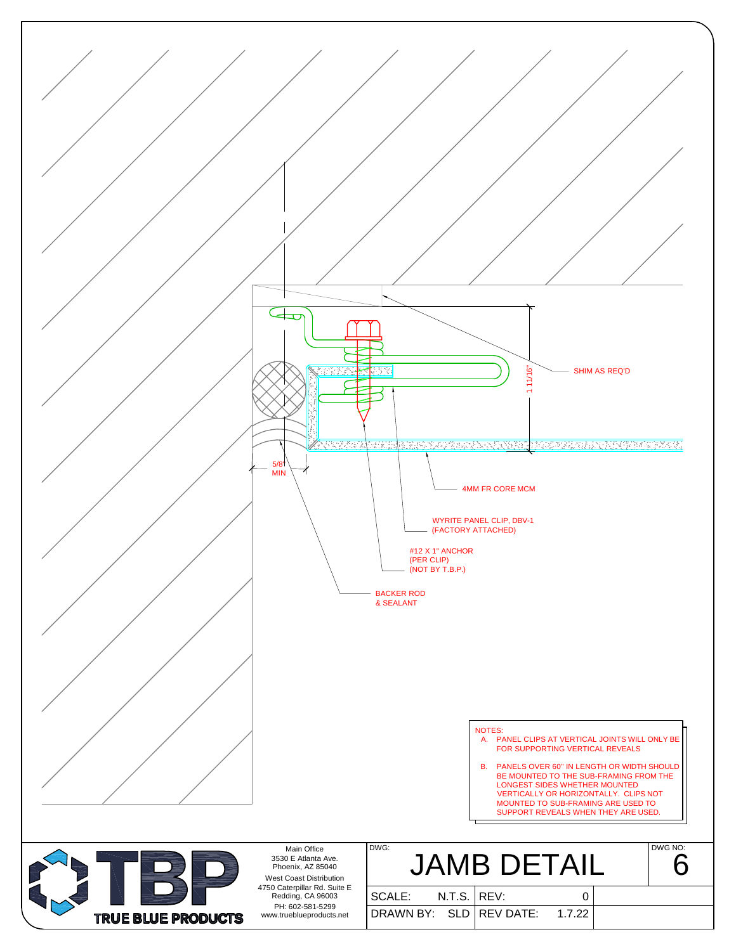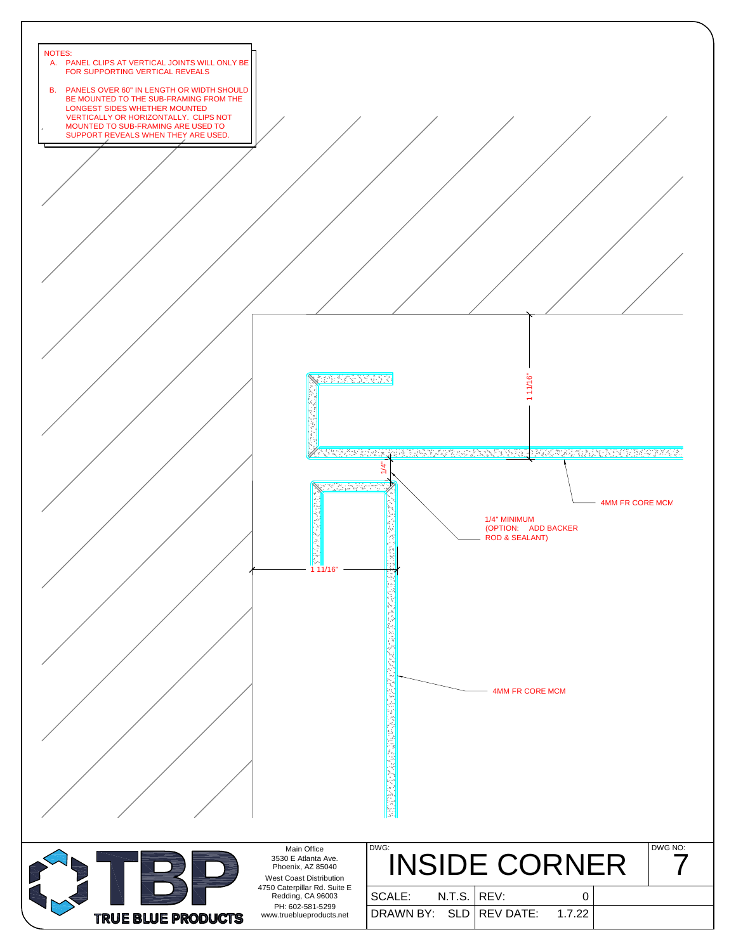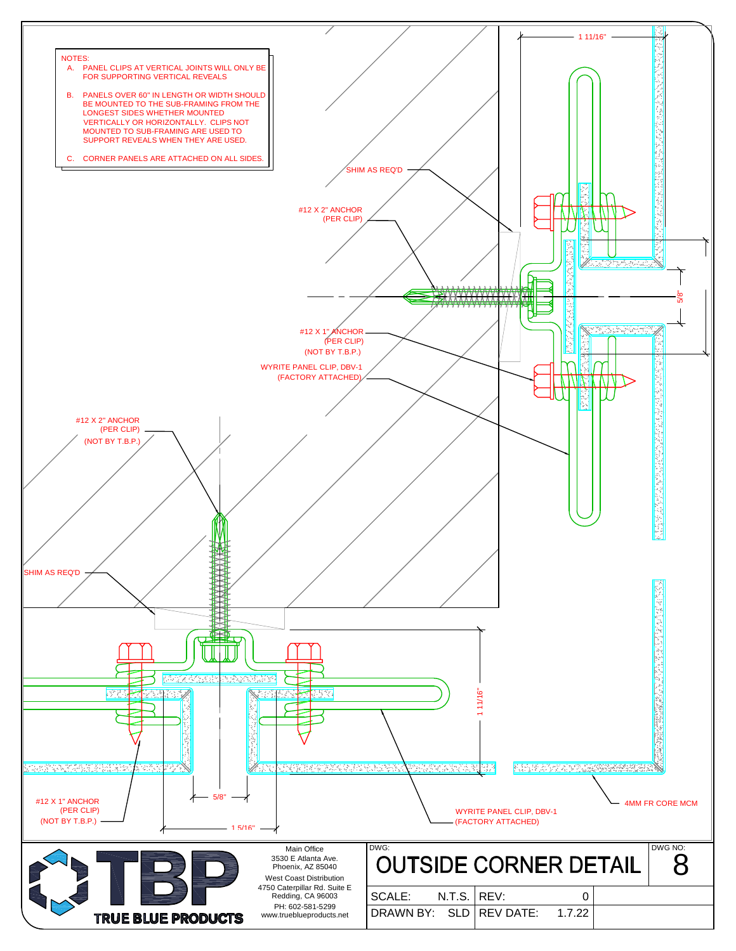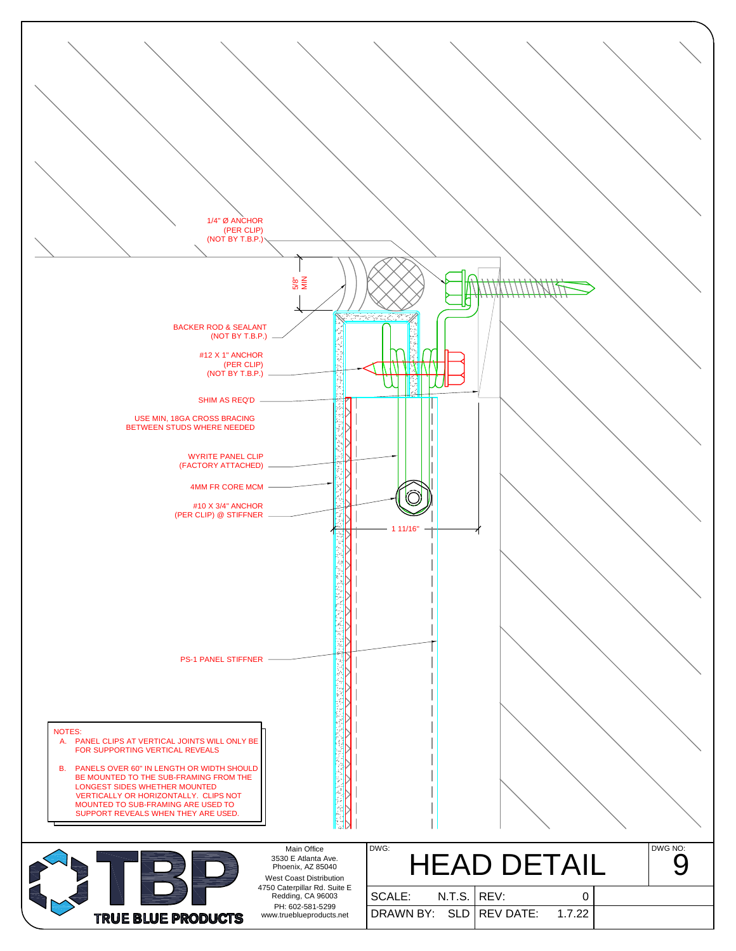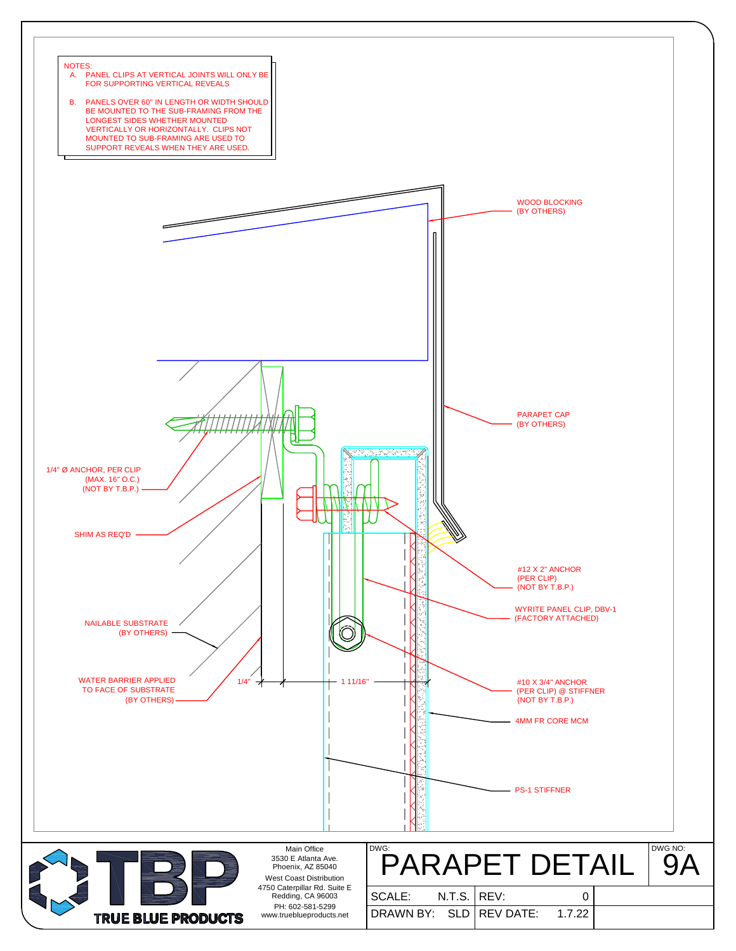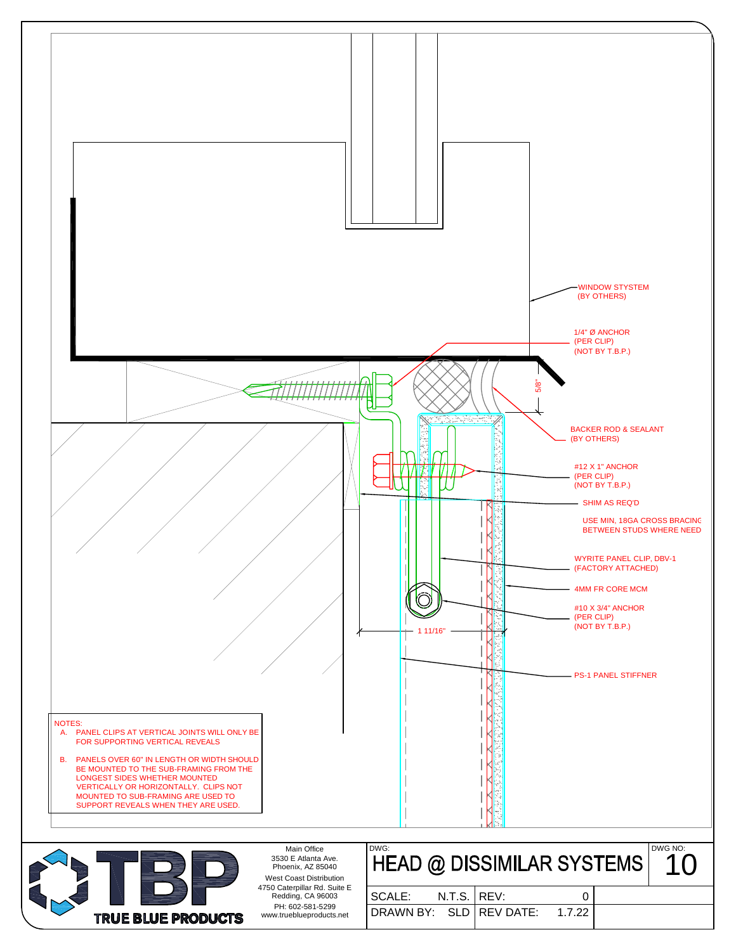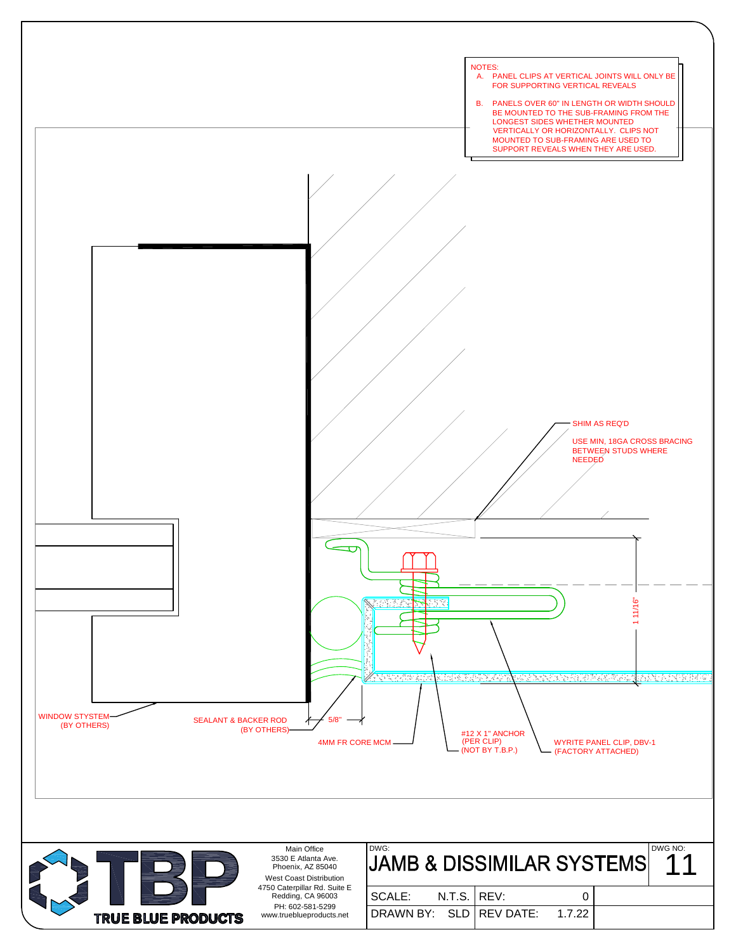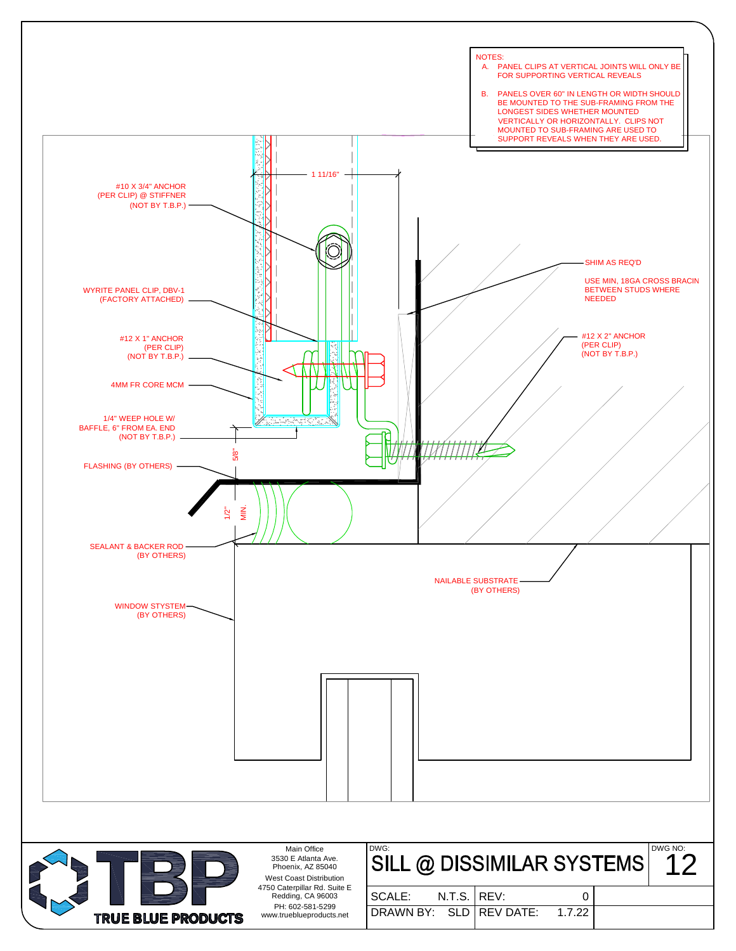